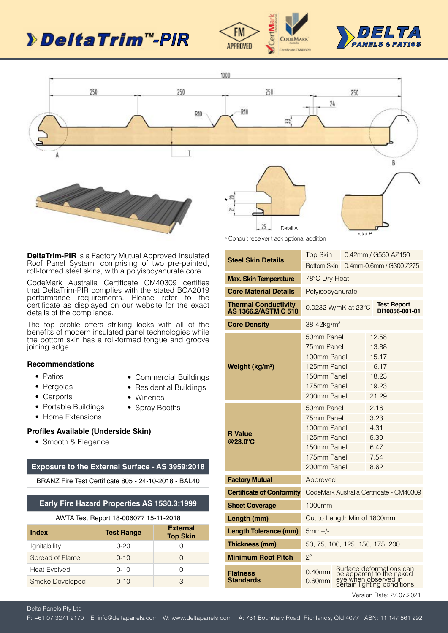# **> Delta Trim "-PIR**





Detail B



**DeltaTrim-PIR** is a Factory Mutual Approved Insulated Roof Panel System, comprising of two pre-painted, roll-formed steel skins, with a polyisocyanurate core.

CodeMark Australia Certificate CM40309 certifies that DeltaTrim-PIR complies with the stated BCA2019 performance requirements. Please refer to the certificate as displayed on our website for the exact details of the compliance.

The top profile offers striking looks with all of the benefits of modern insulated panel technologies while the bottom skin has a roll-formed tongue and groove joining edge.

#### **Recommendations**

- Patios
- Commercial Buildings
- Pergolas • Carports
- Residential Buildings
- Wineries • Spray Booths
- Portable Buildings
- Home Extensions

### **Profiles Available (Underside Skin)**

• Smooth & Elegance

#### **Exposure to the External Surface - AS 3959:2018**

BRANZ Fire Test Certificate 805 - 24-10-2018 - BAL40

### **Early Fire Hazard Properties AS 1530.3:1999**

| AWTA Test Report 18-006077 15-11-2018 |                                    |        |  |  |  |
|---------------------------------------|------------------------------------|--------|--|--|--|
| <b>Index</b>                          | <b>External</b><br><b>Top Skin</b> |        |  |  |  |
| lgnitability                          | 0-20                               |        |  |  |  |
| Spread of Flame                       | $0 - 10$                           | $\cap$ |  |  |  |
| <b>Heat Evolved</b>                   | $0 - 10$                           | Ω      |  |  |  |
| Smoke Developed                       | $0 - 10$                           | З      |  |  |  |

| * Conduit receiver track optional addition                 |                                                                                                                                       |  |  |                                      |  |
|------------------------------------------------------------|---------------------------------------------------------------------------------------------------------------------------------------|--|--|--------------------------------------|--|
|                                                            | <b>Top Skin</b>                                                                                                                       |  |  | 0.42mm / G550 AZ150                  |  |
| <b>Steel Skin Details</b>                                  | <b>Bottom Skin</b>                                                                                                                    |  |  | 0.4mm-0.6mm / G300 Z275              |  |
| <b>Max. Skin Temperature</b>                               | 78°C Dry Heat                                                                                                                         |  |  |                                      |  |
| <b>Core Material Details</b>                               | Polyisocyanurate                                                                                                                      |  |  |                                      |  |
| <b>Thermal Conductivity</b><br><b>AS 1366.2/ASTM C 518</b> | 0.0232 W/mK at 23°C                                                                                                                   |  |  | <b>Test Report</b><br>DI10856-001-01 |  |
| <b>Core Density</b>                                        | 38-42kg/m <sup>3</sup>                                                                                                                |  |  |                                      |  |
|                                                            | 50mm Panel                                                                                                                            |  |  | 12.58                                |  |
|                                                            | 75mm Panel                                                                                                                            |  |  | 13.88                                |  |
|                                                            | 100mm Panel                                                                                                                           |  |  | 15.17                                |  |
| Weight (kg/m <sup>2</sup> )                                | 125mm Panel                                                                                                                           |  |  | 16.17                                |  |
|                                                            | 150mm Panel                                                                                                                           |  |  | 18.23                                |  |
|                                                            | 175mm Panel                                                                                                                           |  |  | 19.23                                |  |
|                                                            | 200mm Panel                                                                                                                           |  |  | 21.29                                |  |
|                                                            | 50mm Panel                                                                                                                            |  |  | 2.16                                 |  |
|                                                            | 75mm Panel                                                                                                                            |  |  | 3.23                                 |  |
| <b>R</b> Value                                             | 100mm Panel<br>125mm Panel                                                                                                            |  |  | 4.31<br>5.39                         |  |
| @23.0°C                                                    | 150mm Panel                                                                                                                           |  |  | 6.47                                 |  |
|                                                            | 175mm Panel                                                                                                                           |  |  | 7.54                                 |  |
|                                                            | 200mm Panel                                                                                                                           |  |  | 8.62                                 |  |
| <b>Factory Mutual</b>                                      | Approved                                                                                                                              |  |  |                                      |  |
| <b>Certificate of Conformity</b>                           | CodeMark Australia Certificate - CM40309                                                                                              |  |  |                                      |  |
| <b>Sheet Coverage</b>                                      | 1000mm                                                                                                                                |  |  |                                      |  |
| Length (mm)                                                | Cut to Length Min of 1800mm                                                                                                           |  |  |                                      |  |
| <b>Length Tolerance (mm)</b>                               | $5mm+/-$                                                                                                                              |  |  |                                      |  |
| <b>Thickness (mm)</b>                                      | 50, 75, 100, 125, 150, 175, 200                                                                                                       |  |  |                                      |  |
| <b>Minimum Roof Pitch</b>                                  | $2^{\circ}$                                                                                                                           |  |  |                                      |  |
| <b>Flatness</b><br><b>Standards</b>                        | Surface deformations can<br>be apparent to the naked<br>eye when observed in<br>$0.40$ mm<br>$0.60$ mm<br>certain lighting conditions |  |  |                                      |  |

Version Date: 27.07.2021

Delta Panels Pty Ltd